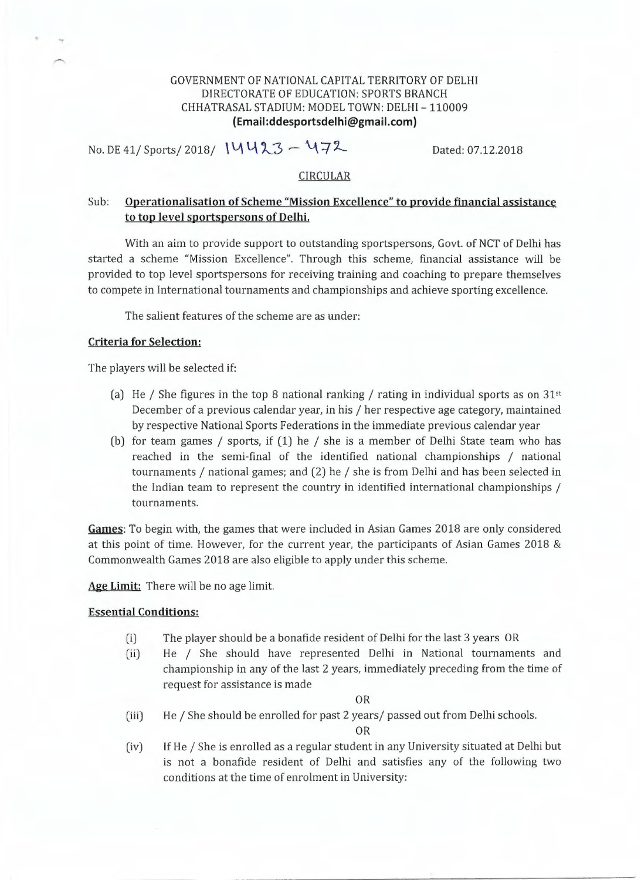## GOVERNMENT OF NATIONAL CAPITAL TERRITORY OF DELHI DIRECTORATE OF EDUCATION: SPORTS BRANCH CHHATRASAL STADIUM: MODEL TOWN: DELHI - 110009 **(Email:ddesportsdelhi@gmail.com)**

No. DE 41/ Sports/ 2018/ 14423 - 472 Dated: 07.12.2018

#### CIRCULAR

# Sub: Operationalisation of Scheme "Mission Excellence" to provide financial assistance to top level sportspersons of Delhi.

With an aim to provide support to outstanding sportspersons, Govt. of NCT of Delhi has started a scheme "Mission Excellence". Through this scheme, financial assistance will be provided to top level sportspersons for receiving training and coaching to prepare themselves to compete in International tournaments and championships and achieve sporting excellence.

The salient features of the scheme are as under:

## **Criteria for Selection:**

The players will be selected if:

- (a) He / She figures in the top 8 national ranking / rating in individual sports as on  $31<sup>st</sup>$ December of a previous calendar year, in his / her respective age category, maintained by respective National Sports Federations in the immediate previous calendar year
- (b) for team games / sports, if (1) he / she is a member of Delhi State team who has reached in the semi-final of the identified national championships / national tournaments / national games; and (2) he / she is from Delhi and has been selected in the Indian team to represent the country in identified international championships / tournaments.

**Games:** To begin with, the games that were included in Asian Games 2018 are only considered at this point of time. However, for the current year, the participants of Asian Games 2018 & Commonwealth Games 2018 are also eligible to apply under this scheme.

Age Limit: There will be no age limit.

## Essential Conditions:

- (i) The player should be a bonafide resident of Delhi for the last 3 years OR
- (ii) He / She should have represented Delhi in National tournaments and championship in any of the last 2 years, immediately preceding from the time of request for assistance is made

#### OR

(iii) He / She should be enrolled for past 2 years/ passed out from Delhi schools.

OR

(iv) If He / She is enrolled as a regular student in any University situated at Delhi but is not a bonafide resident of Delhi and satisfies any of the following two conditions at the time of enrolment in University: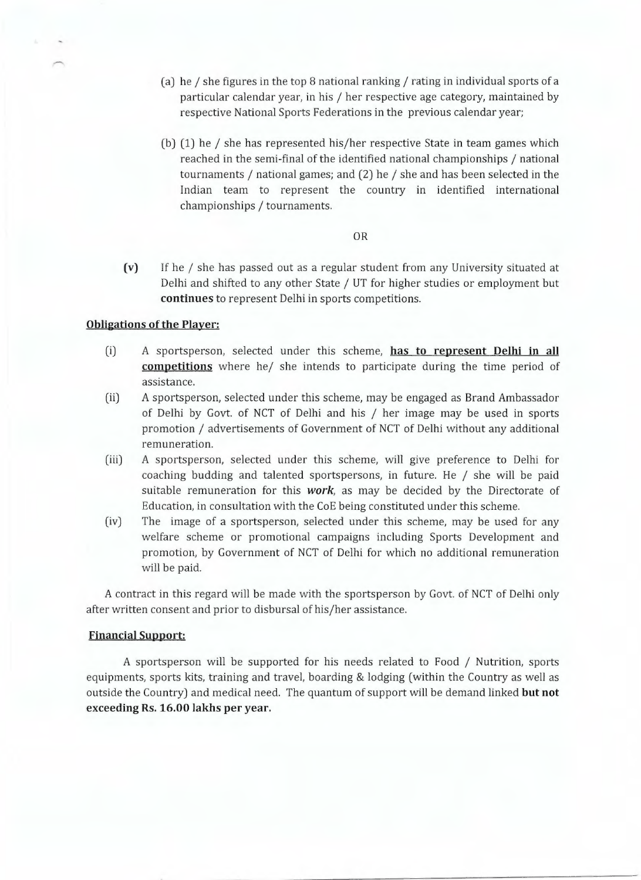- (a) he / she figures in the top 8 national ranking / rating in individual sports of a particular calendar year, in his / her respective age category, maintained by respective National Sports Federations in the previous calendar year;
- (b) (1) he / she has represented his/her respective State in team games which reached in the semi-final of the identified national championships / national tournaments / national games; and (2) he / she and has been selected in the Indian team to represent the country in identified international championships / tournaments.

#### OR

(v) If he / she has passed out as a regular student from any University situated at Delhi and shifted to any other State / UT for higher studies or employment but **continues** to represent Delhi in sports competitions.

### **Obligations of the Player:**

- (i) A sportsperson, selected under this scheme, **has to represent Delhi in all competitions** where he/ she intends to participate during the time period of assistance.
- (ii) A sportsperson, selected under this scheme, may be engaged as Brand Ambassador of Delhi by Govt. of NCT of Delhi and his / her image may be used in sports promotion / advertisements of Government of NCT of Delhi without any additional remuneration.
- (iii) A sportsperson, selected under this scheme, will give preference to Delhi for coaching budding and talented sportspersons, in future. He / she will be paid suitable remuneration for this *work,* as may be decided by the Directorate of Education, in consultation with the CoE being constituted under this scheme.
- (iv) The image of a sportsperson, selected under this scheme, may be used for any welfare scheme or promotional campaigns including Sports Development and promotion, by Government of NCT of Delhi for which no additional remuneration will be paid.

A contract in this regard will be made with the sportsperson by Govt. of NCT of Delhi only after written consent and prior to disbursal of his/her assistance.

#### **Financial Support:**

A sportsperson will be supported for his needs related to Food / Nutrition, sports equipments, sports kits, training and travel, boarding & lodging (within the Country as well as outside the Country) and medical need. The quantum of support will be demand linked **but not exceeding Rs. 16.00 lakhs per year.**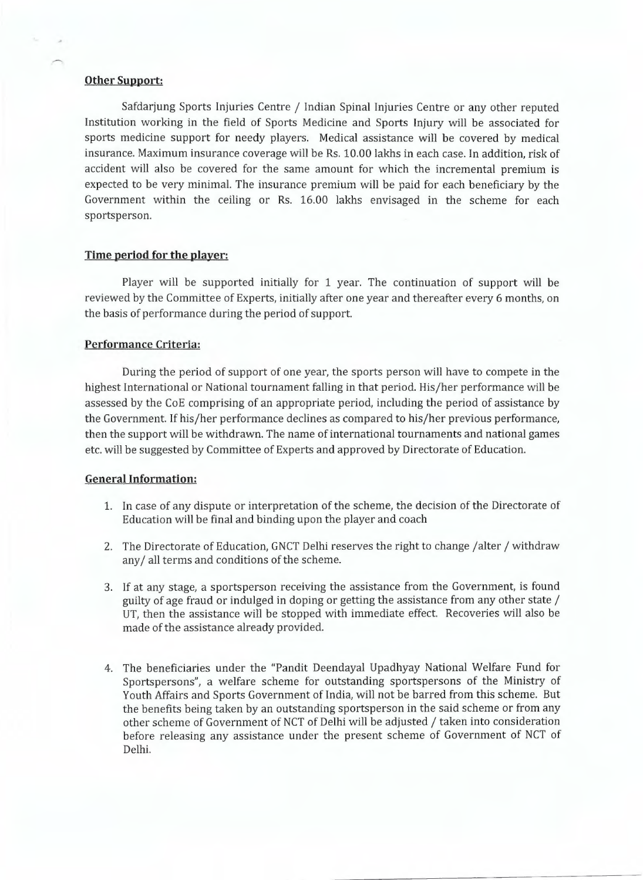## **Other Support:**

Safdarjung Sports Injuries Centre / Indian Spinal Injuries Centre or any other reputed Institution working in the field of Sports Medicine and Sports Injury will be associated for sports medicine support for needy players. Medical assistance will be covered by medical insurance. Maximum insurance coverage will be Rs. 10.00 lakhs in each case. In addition, risk of accident will also be covered for the same amount for which the incremental premium is expected to be very minimal. The insurance premium will be paid for each beneficiary by the Government within the ceiling or Rs. 16.00 lakhs envisaged in the scheme for each sportsperson.

## **Time period for the player:**

Player will be supported initially for 1 year. The continuation of support will be reviewed by the Committee of Experts, initially after one year and thereafter every 6 months, on the basis of performance during the period of support.

## Performance Criteria:

During the period of support of one year, the sports person will have to compete in the highest International or National tournament falling in that period. His/her performance will be assessed by the CoE comprising of an appropriate period, including the period of assistance by the Government. If his/her performance declines as compared to his/her previous performance, then the support will be withdrawn. The name of international tournaments and national games etc. will be suggested by Committee of Experts and approved by Directorate of Education.

#### **General Information:**

- 1. In case of any dispute or interpretation of the scheme, the decision of the Directorate of Education will be final and binding upon the player and coach
- 2. The Directorate of Education, GNCT Delhi reserves the right to change /alter / withdraw any/ all terms and conditions of the scheme.
- 3. If at any stage, a sportsperson receiving the assistance from the Government, is found guilty of age fraud or indulged in doping or getting the assistance from any other state / UT, then the assistance will be stopped with immediate effect. Recoveries will also be made of the assistance already provided.
- 4. The beneficiaries under the "Pandit Deendayal Upadhyay National Welfare Fund for Sportspersons", a welfare scheme for outstanding sportspersons of the Ministry of Youth Affairs and Sports Government of India, will not be barred from this scheme. But the benefits being taken by an outstanding sportsperson in the said scheme or from any other scheme of Government of NCT of Delhi will be adjusted / taken into consideration before releasing any assistance under the present scheme of Government of NCT of Delhi.